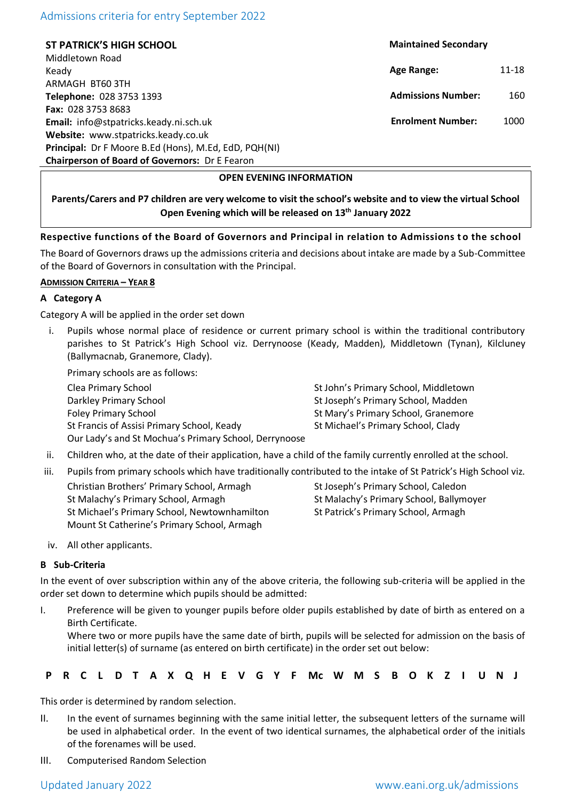# Admissions criteria for entry September 2022

**ST PATRICK'S HIGH SCHOOL** Middletown Road Keady ARMAGH BT60 3TH **Telephone:** 028 3753 1393 **Fax:** 028 3753 8683 **Email:** info@stpatricks.keady.ni.sch.uk **Website:** www.stpatricks.keady.co.uk **Principal:** Dr F Moore B.Ed (Hons), M.Ed, EdD, PQH(NI) **Chairperson of Board of Governors:** Dr E Fearon

 **Maintained Secondary**

**Age Range:** 11-18

 **Admissions Number:** 160

 **Enrolment Number:** 1000

# **OPEN EVENING INFORMATION**

**Parents/Carers and P7 children are very welcome to visit the school's website and to view the virtual School Open Evening which will be released on 13th January 2022**

# **Respective functions of the Board of Governors and Principal in relation to Admissions t o the school**

The Board of Governors draws up the admissions criteria and decisions about intake are made by a Sub-Committee of the Board of Governors in consultation with the Principal.

## **ADMISSION CRITERIA – YEAR 8**

# **A Category A**

Category A will be applied in the order set down

Pupils whose normal place of residence or current primary school is within the traditional contributory parishes to St Patrick's High School viz. Derrynoose (Keady, Madden), Middletown (Tynan), Kilcluney (Ballymacnab, Granemore, Clady).

Primary schools are as follows:

Clea Primary School St John's Primary School, Middletown Darkley Primary School St Joseph's Primary School, Madden Foley Primary School St Mary's Primary School, Granemore St Francis of Assisi Primary School, Keady St Michael's Primary School, Clady Our Lady's and St Mochua's Primary School, Derrynoose

- ii. Children who, at the date of their application, have a child of the family currently enrolled at the school.
- iii. Pupils from primary schools which have traditionally contributed to the intake of St Patrick's High School viz.

Christian Brothers' Primary School, Armagh St Joseph's Primary School, Caledon St Malachy's Primary School, Armagh St Malachy's Primary School, Ballymoyer St Michael's Primary School, Newtownhamilton St Patrick's Primary School, Armagh Mount St Catherine's Primary School, Armagh

iv. All other applicants.

## **B Sub-Criteria**

In the event of over subscription within any of the above criteria, the following sub-criteria will be applied in the order set down to determine which pupils should be admitted:

I. Preference will be given to younger pupils before older pupils established by date of birth as entered on a Birth Certificate.

Where two or more pupils have the same date of birth, pupils will be selected for admission on the basis of initial letter(s) of surname (as entered on birth certificate) in the order set out below:

This order is determined by random selection.

- II. In the event of surnames beginning with the same initial letter, the subsequent letters of the surname will be used in alphabetical order. In the event of two identical surnames, the alphabetical order of the initials of the forenames will be used.
- III. Computerised Random Selection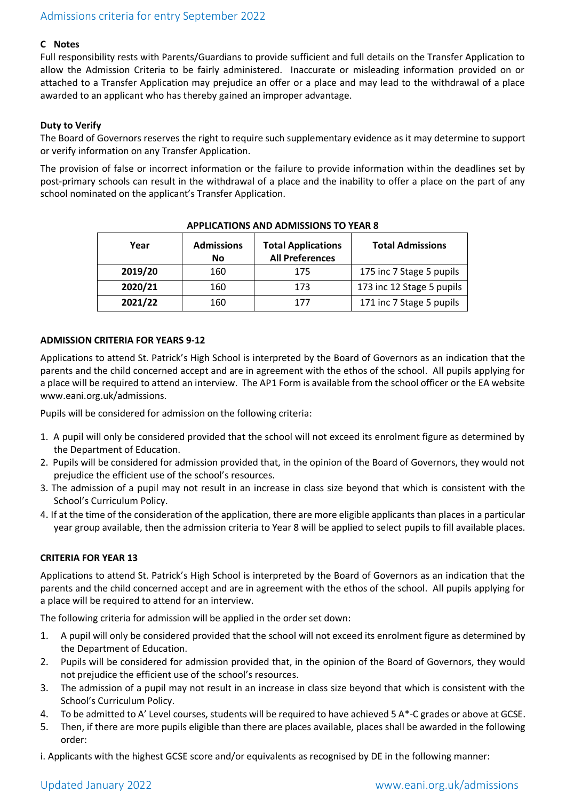## **C Notes**

Full responsibility rests with Parents/Guardians to provide sufficient and full details on the Transfer Application to allow the Admission Criteria to be fairly administered. Inaccurate or misleading information provided on or attached to a Transfer Application may prejudice an offer or a place and may lead to the withdrawal of a place awarded to an applicant who has thereby gained an improper advantage.

# **Duty to Verify**

The Board of Governors reserves the right to require such supplementary evidence as it may determine to support or verify information on any Transfer Application.

The provision of false or incorrect information or the failure to provide information within the deadlines set by post-primary schools can result in the withdrawal of a place and the inability to offer a place on the part of any school nominated on the applicant's Transfer Application.

| Year    | <b>Admissions</b><br>No | <b>Total Applications</b><br><b>All Preferences</b> | <b>Total Admissions</b>   |
|---------|-------------------------|-----------------------------------------------------|---------------------------|
| 2019/20 | 160                     | 175                                                 | 175 inc 7 Stage 5 pupils  |
| 2020/21 | 160                     | 173                                                 | 173 inc 12 Stage 5 pupils |
| 2021/22 | 160                     | 177                                                 | 171 inc 7 Stage 5 pupils  |

## **APPLICATIONS AND ADMISSIONS TO YEAR 8**

## **ADMISSION CRITERIA FOR YEARS 9-12**

Applications to attend St. Patrick's High School is interpreted by the Board of Governors as an indication that the parents and the child concerned accept and are in agreement with the ethos of the school. All pupils applying for a place will be required to attend an interview. The AP1 Form is available from the school officer or the EA website www.eani.org.uk/admissions.

Pupils will be considered for admission on the following criteria:

- 1. A pupil will only be considered provided that the school will not exceed its enrolment figure as determined by the Department of Education.
- 2. Pupils will be considered for admission provided that, in the opinion of the Board of Governors, they would not prejudice the efficient use of the school's resources.
- 3. The admission of a pupil may not result in an increase in class size beyond that which is consistent with the School's Curriculum Policy.
- 4. If at the time of the consideration of the application, there are more eligible applicants than places in a particular year group available, then the admission criteria to Year 8 will be applied to select pupils to fill available places.

## **CRITERIA FOR YEAR 13**

Applications to attend St. Patrick's High School is interpreted by the Board of Governors as an indication that the parents and the child concerned accept and are in agreement with the ethos of the school. All pupils applying for a place will be required to attend for an interview.

The following criteria for admission will be applied in the order set down:

- 1. A pupil will only be considered provided that the school will not exceed its enrolment figure as determined by the Department of Education.
- 2. Pupils will be considered for admission provided that, in the opinion of the Board of Governors, they would not prejudice the efficient use of the school's resources.
- 3. The admission of a pupil may not result in an increase in class size beyond that which is consistent with the School's Curriculum Policy.
- 4. To be admitted to A' Level courses, students will be required to have achieved 5 A\*-C grades or above at GCSE.
- 5. Then, if there are more pupils eligible than there are places available, places shall be awarded in the following order:

i. Applicants with the highest GCSE score and/or equivalents as recognised by DE in the following manner: